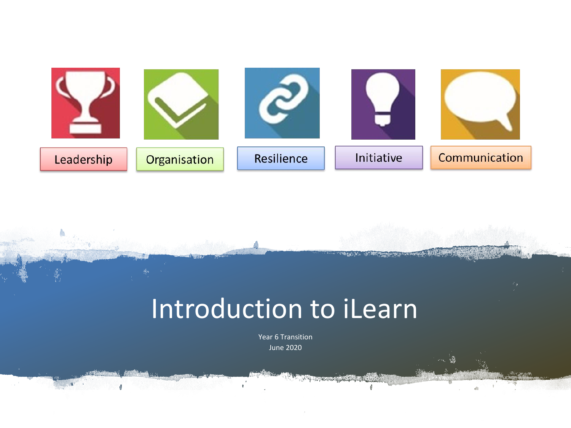

## Introduction to iLearn

Year 6 Transition June 2020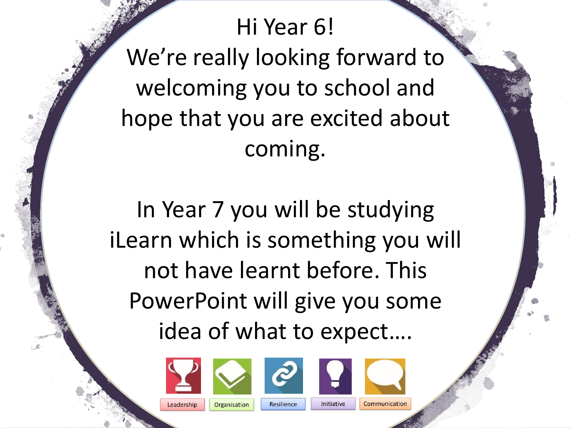Hi Year 6! We're really looking forward to welcoming you to school and hope that you are excited about coming.

In Year 7 you will be studying iLearn which is something you will not have learnt before. This PowerPoint will give you some idea of what to expect….













Leadership

**Organisation** 

Resilience

Initiative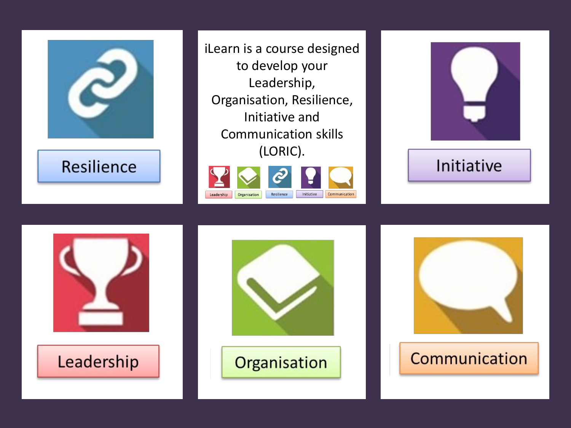

**Resilience** 

iLearn is a course designed to develop your Leadership, Organisation, Resilience, Initiative and Communication skills (LORIC).





## Initiative







## Communication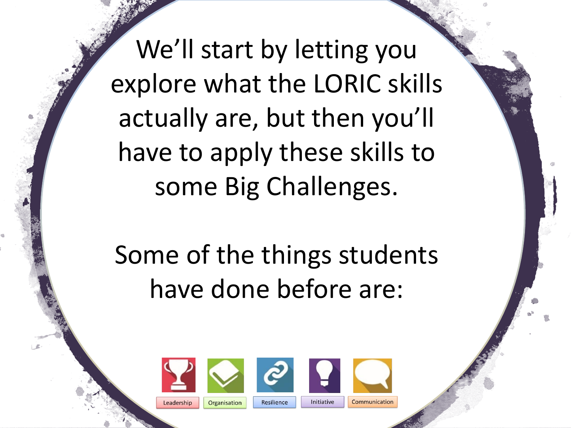We'll start by letting you explore what the LORIC skills actually are, but then you'll have to apply these skills to some Big Challenges.

Some of the things students have done before are:





Initiative

Communication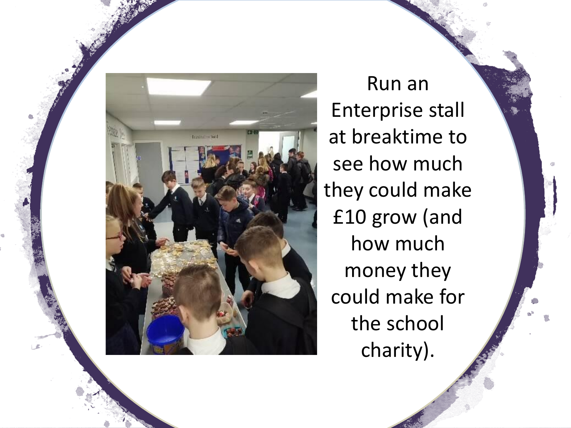

Run an Enterprise stall at breaktime to see how much they could make £10 grow (and how much money they could make for the school charity).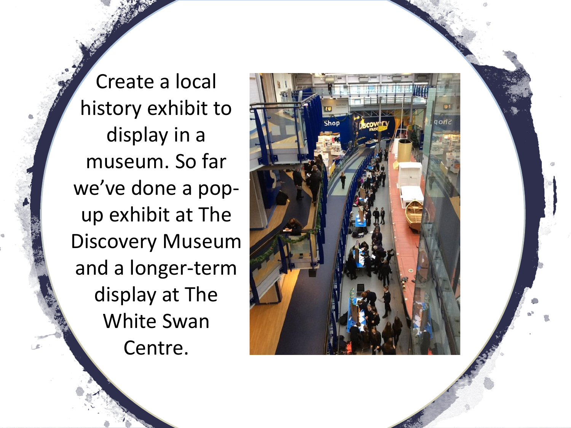Create a local history exhibit to display in a museum. So far we've done a popup exhibit at The Discovery Museum and a longer-term display at The White Swan Centre.

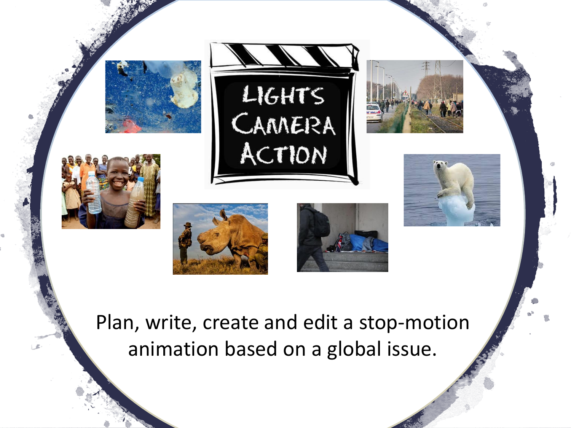

Plan, write, create and edit a stop-motion animation based on a global issue.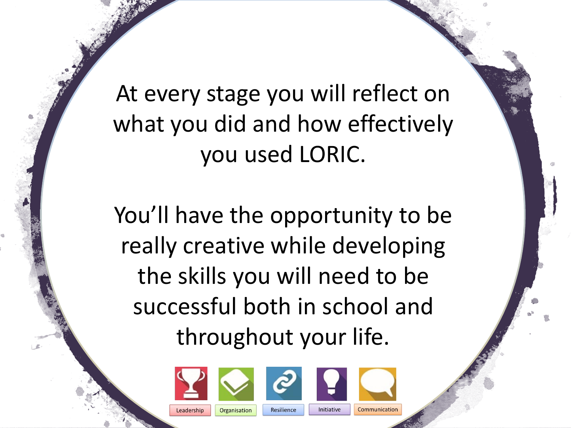At every stage you will reflect on what you did and how effectively you used LORIC.

You'll have the opportunity to be really creative while developing the skills you will need to be successful both in school and throughout your life.



Leadership





Resilience